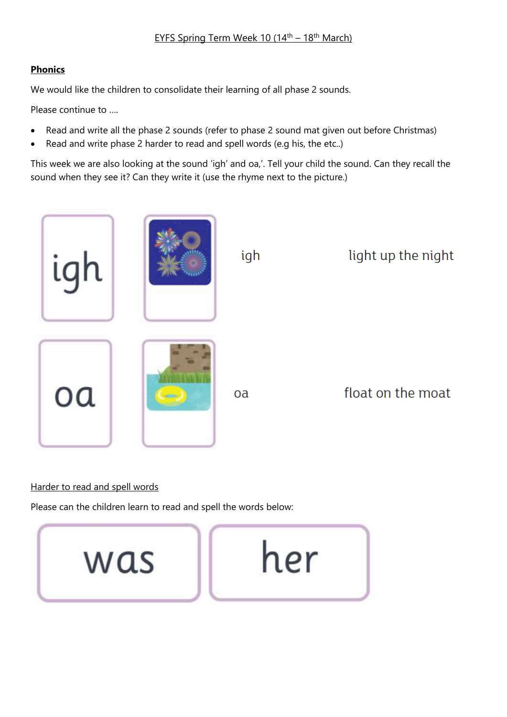#### EYFS Spring Term Week 10 (14<sup>th</sup> – 18<sup>th</sup> March)

#### **Phonics**

We would like the children to consolidate their learning of all phase 2 sounds.

Please continue to ….

- Read and write all the phase 2 sounds (refer to phase 2 sound mat given out before Christmas)
- Read and write phase 2 harder to read and spell words (e.g his, the etc..)

This week we are also looking at the sound 'igh' and oa,'. Tell your child the sound. Can they recall the sound when they see it? Can they write it (use the rhyme next to the picture.)



#### Harder to read and spell words

Please can the children learn to read and spell the words below:

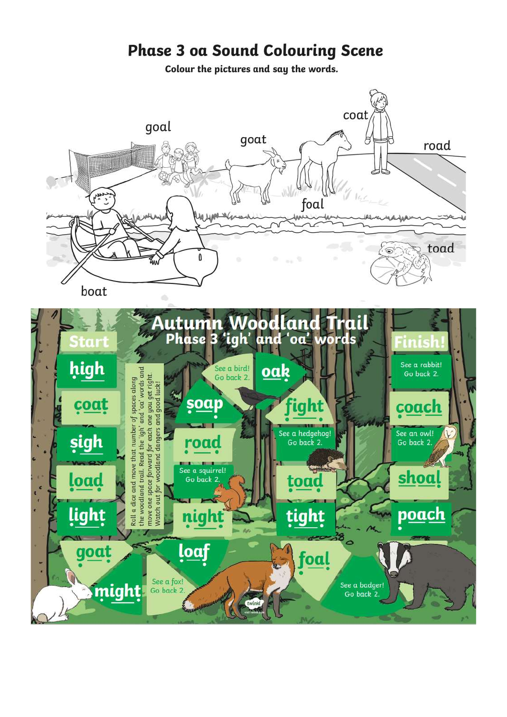# **Phase 3 oa Sound Colouring Scene**

Colour the pictures and say the words.

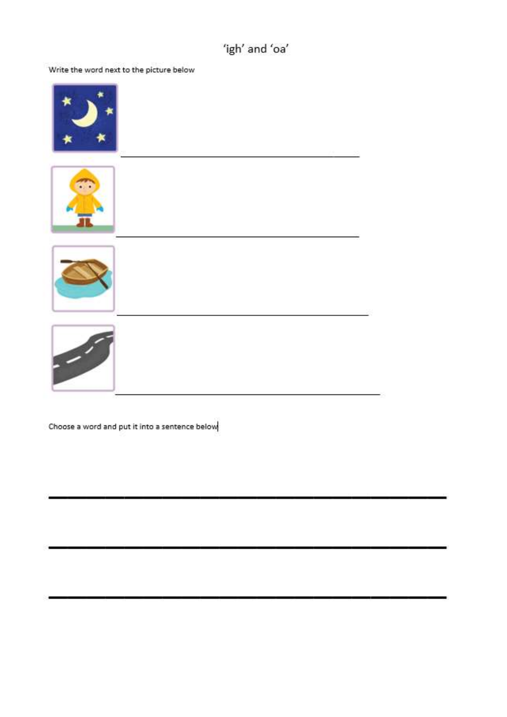## 'igh' and 'oa'

Write the word next to the picture below



Choose a word and put it into a sentence below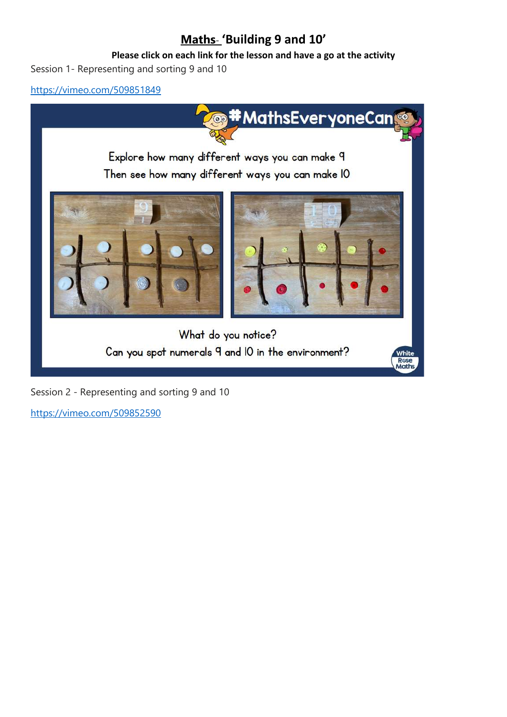## **Maths**- **'Building 9 and 10'**

#### **Please click on each link for the lesson and have a go at the activity**

Session 1- Representing and sorting 9 and 10

<https://vimeo.com/509851849>



Session 2 - Representing and sorting 9 and 10

<https://vimeo.com/509852590>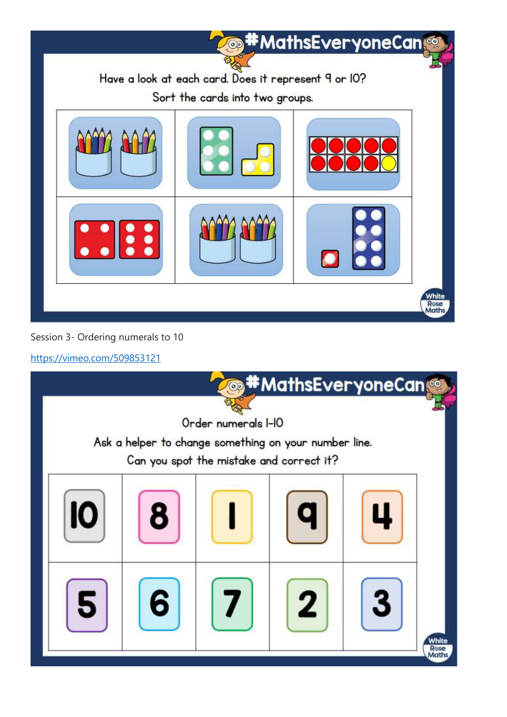

#### Session 3- Ordering numerals to 10

<https://vimeo.com/509853121>

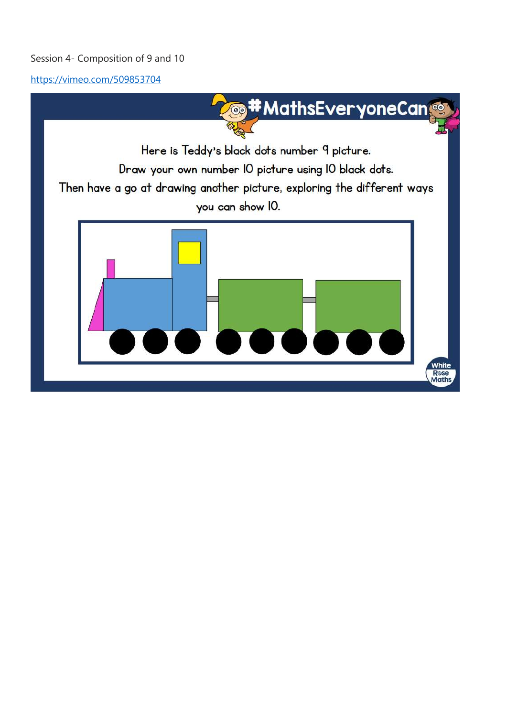#### Session 4- Composition of 9 and 10

<https://vimeo.com/509853704>

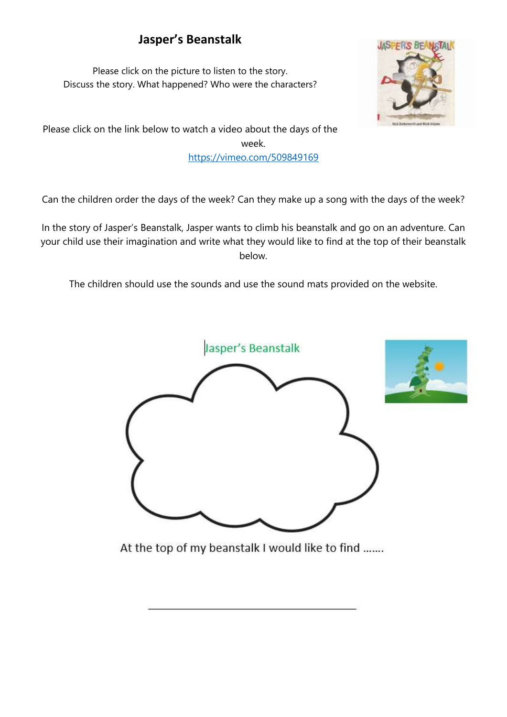## **Jasper's Beanstalk**

Please click on the picture to listen to the story. Discuss the story. What happened? Who were the characters?



Please click on the link below to watch a video about the days of the week. <https://vimeo.com/509849169>

Can the children order the days of the week? Can they make up a song with the days of the week?

In the story of Jasper's Beanstalk, Jasper wants to climb his beanstalk and go on an adventure. Can your child use their imagination and write what they would like to find at the top of their beanstalk below.

The children should use the sounds and use the sound mats provided on the website.



At the top of my beanstalk I would like to find .......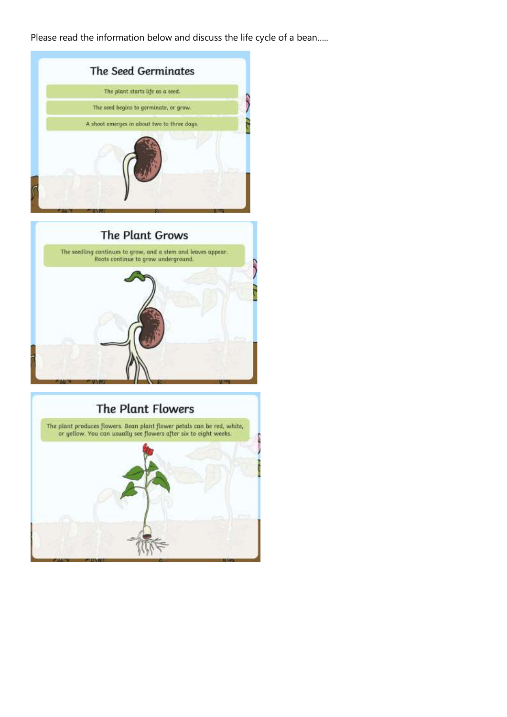Please read the information below and discuss the life cycle of a bean.....





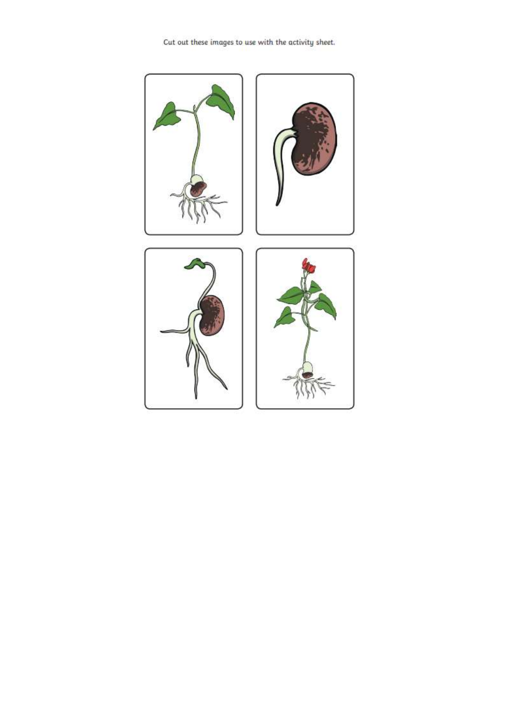Cut out these images to use with the activity sheet.